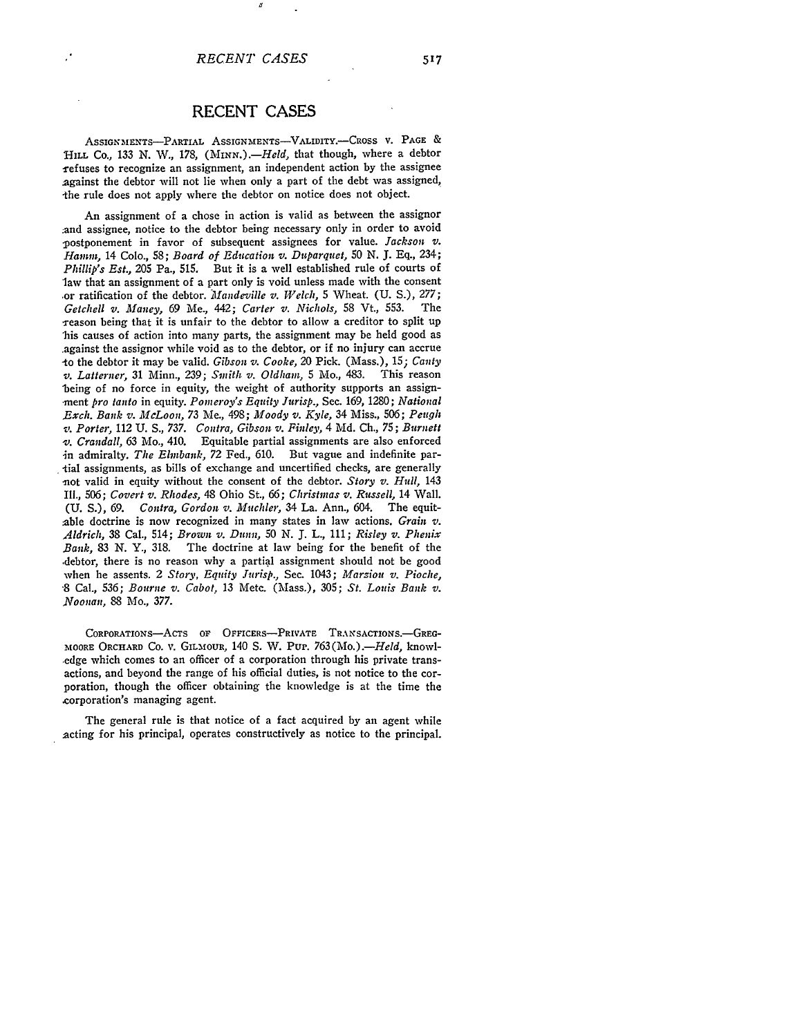ASSIGN MENTS-PARTIAL ASSIGNMENTS-VALIDITY.-CROSS V. **PAGE** & HILL Co., 133 N. W., 178, *(MINN.).*-*Held*, that though, where a debtor -refuses to recognize an assignment, an independent action by the assignee 2gainst the debtor will not lie when only a part of the debt was assigned, the rule does not apply where the debtor on notice does not object.

An assignment of a chose in action is valid as between the assignor ;and assignee, notice to the debtor being necessary only in order to avoid -postponement in favor of subsequent assignees for value. *Jackson v. Harm,,,* 14 Colo., 58; *Board of Education v. Duparquet,* 50 **N.** J. Eq., 234; *Phillip's Est.,* 205 Pa., 515. But it is a well established rule of courts of law that an assignment of a part only is void unless made with the consent ,or ratification of the debtor. *Mllandeville v. Welch,* 5 Wheat. **(U.** S.), 277; *Getchell v. Maney, 69 Me., 442; Carter v. Nichols, 58 Vt., 553.* reason being that it is unfair to the debtor to allow a creditor to split up 'his causes of action into many parts, the assignment may be held good as .against the assignor while void as to the debtor, or if no injury can accrue -to the debtor it may be valid. *Gibson v. Cooke,* 20 Pick. (Mass.), *15; Canty v. Latterner,* 31 Minn., 239; *Smith v. Oldham,* 5 Mo., 483. This reason 'being of no force in equity, the weight of authority supports an assign- .ment *pro tanto* in equity. *Pomeroy's Equity Jurisp.,* Sec. 169, 1280; *National ,Exch. Bank v. McLoon,* 73 Me., 498; *Moody v. Kyle,* 34 Miss., 506; *Peugh ,. Porter,* 112 **U. S.,** 737. *Contra, Gibson v. Finley,* 4 Md. Ch., 75; *Burnett -v. Crandall,* 63 Mo., 410. Equitable partial assignments are also enforced in admiralty. *The Elnbank,* 72 Fed., 610. But vague and indefinite par- -tial assignments, as bills of exchange and uncertified checks, are generally -not valid in equity without the consent of the debtor. *Story v. Hull,* <sup>143</sup> Ill., 506; *Covert v. Rhodes,* 48 Ohio St., *66; Christmas v. Russell,* 14 Wall. **(U.** S.), 69. *Contra, Gordon v. Muchler,* 34 La. Ann., 604. The equitable doctrine is now recognized in many states in law actions. *Grain v. Aldrich,* 38 Cal., 514; *Brown v. Dunn,* 50 N. **J.** L., 111; *Risley v. Phenix Bank,* 83 N. Y., 318. The doctrine at law being for the benefit of the -debtor, there is no reason why a partial assignment should not be good when he assents. 2 *Story, Equity Jurisp.,* Sec. 1043; *Marsiou v. Pioche,* **-8** Cal., 536; *Bourne v. Cabot,* 13 Metc. (Mass.), 305; *St. Louis Bank v. Noonan, 88* Mo., 377.

CORPORATIONS-ACTS OF OFFICERS-PRIVATE TRANSACTIONS.-GREG-**MOORE** ORCHARD Co. v. GILMfOUR, 140 **S.** W. Pup. *763(Mo.).-Held,* knowl- -edge which comes to an officer of a corporation through his private transactions, and beyond the range of his official duties, is not notice to the corporation, though the officer obtaining the knowledge is at the time the ,corporation's managing agent.

The general rule is that notice of a fact acquired by an agent while acting for his principal, operates constructively as notice to the principal.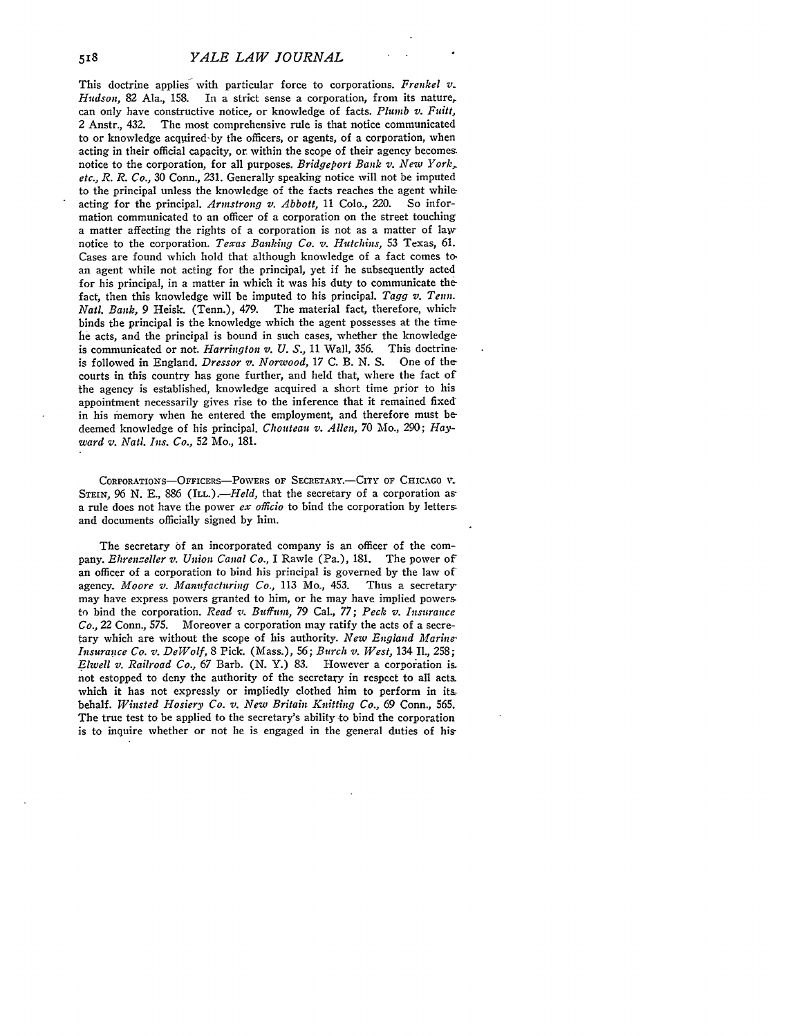This doctrine applies- with particular force to corporations. *Frenkel* v. *Hudson,* 82 Ala., 158. In a strict sense a corporation, from its nature, can only have constructive notice, or knowledge of facts. *Plumb v. Fuit,* 2 Anstr., 432. The most comprehensive rule is that notice communicated to or knowledge acquired-by the officers, or agents, of a corporation, when acting in their official capacity, or within the scope of their agency becomes notice to the corporation, for all purposes. *Bridgeport Bank v. New York, etc., R. R. Co.,* 30 Conn., 231. Generally speaking notice will not be imputed to the principal unless the knowledge of the facts reaches the agent while acting for the principal. *Armstrong v. Abbott,* 11 Colo., 220. So information communicated to an officer of a corporation on the street touching a matter affecting the rights of a corporation is not as a matter of law notice to the corporation. *Texas Banking Co. v. Hutchins,* **53** Texas, 61. Cases are found which hold that although knowledge of a fact comes to. an agent while not acting for the principal, yet if he subsequently acted for his principal, in a matter in which it was his duty to communicate the fact, then this knowledge will be imputed to his principal. *Tagg v. Tenn. Natl. Bank,* 9 Heisk. (Tenn.), 479. The material fact, therefore, whichbinds the principal is the knowledge which the agent possesses at the time he acts, and the principal is bound in such cases, whether the knowledge is communicated or not. *Harrington v. U. S.*, 11 Wall, 356. This doctrine-<br>is followed in England, *Dressor v. Norwood*, 17 C. B. N. S. One of the is followed in England. *Dressor v. Norwood*, 17 C. B. N. S. courts in this country has gone further, and held that, where the fact of the agency is established, knowledge acquired a short time prior to his appointment necessarily gives rise to the inference that it remained fixed in his memory when he entered the employment, and therefore must be deemed knowledge of his principal. *Choutean v. Allen,* 70 Mo., 290; *Hayward v. Natl. Ins. Co.,* 52 Mo., 181.

CORPORATIONS-OFFICERS-POWERS OF SECRETARY.-CITY OF CHICAGO **V**. STEIN, 96 N. E., 886 *(ILL.).*-*Held*, that the secretary of a corporation as a rule does not have the power *ex officio* to bind the corporation by letters and documents officially signed by him.

The secretary of an incorporated company is an officer of the company. *Ehrenzeller v. Union Canal Co.,* I Rawle (Pa.), 181. The power of an officer of a corporation to bind his principal is governed by the law of agency. *Moore v. Manufacturing Co.,* 113 Mo., 453. Thus a secretary may have express powers granted to him, or he may have implied powers. to bind the corporation. *Read v. Buffum, 79* Cal., *77; Peck v. Insurance Co.,* 22 Conn., 575. Moreover a corporation may ratify the acts of a secretary which are without the scope of his authority. *New England Marine' Insurance Co. v. DeWolf,* 8 Pick. (Mass.), 56; *Burch v. West,* 134 II., 258; *Elwell v. Railroad Co., 67 Barb.* (N. Y.) 83. However a corporation is. not estopped to deny the authority of the secretary in respect to all acts. which it has not expressly or impliedly clothed him to perform in its. behalf. *Winsted Hosiery Co. v. New Britain Knitting Co.,* 69 Conn., **565.** The true test to be applied to the secretary's ability to bind the corporation is to inquire whether or not he is engaged in the general duties of his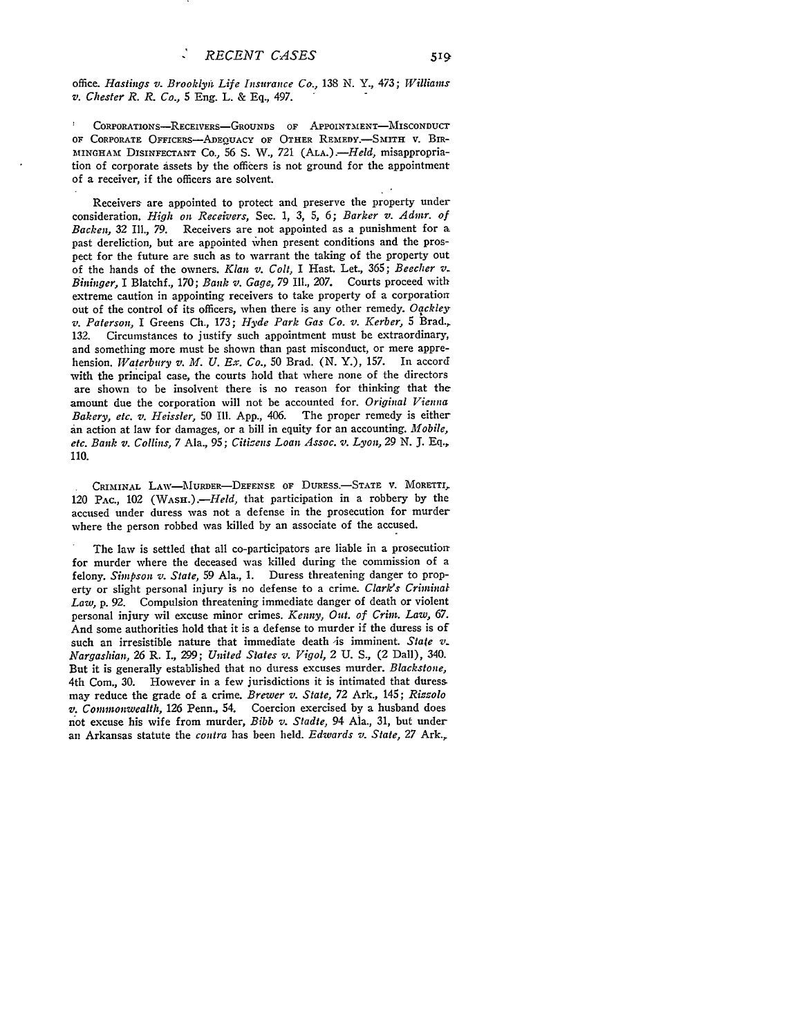office. *Hastings v. Brooklyni Life Insurance Ca.,* **138** N. Y., 473; *Williams v.* Chester R. *R. Co.,* 5 Eng. L. & Eq., 497.

CORPORATIONS-RECEIVERS-GROUNDS OF APPOINTMENT-MISCONDUCT OF CORPORATE OFFICERS-ADEQUACY OF OTHER REMEDY.-SMITH V. BIR-**]AINGHAME** DISINFECTANT Co., 56 **S.** W., 721 (ALA.) *--Held,* misappropriation of corporate assets by the officers is not ground for the appointment of a receiver, if the officers are solvent.

Receivers are appointed to protect and preserve the property under consideration. *High on Receivers,* Sec. **1,** 3, **5,** 6; *Barker v. Admr. of Backen,* 32 II1., 79. Receivers are not appointed as a punishment for a past dereliction, but are appointed when present conditions and the prospect for the future are such as to warrant the taking of the property out of the hands of the owners. *Klan v. Colt,* I Hast. Let., **365;** *Beecher v. Bininger,* I Blatchf., **170;** *Bank v. Gage,* 79 Ill., 207. Courts proceed with extreme caution in appointing receivers to take property of a corporation out of the control of its officers, when there is any other remedy. *Oqckley* v. *Paterson,* I Greens Ch., 173; *Hyde Park Gas Co. v. Kerber,* **5** Brad., 132. Circumstances to justify such appointment must be extraordinary, and something more must be shown than past misconduct, or mere apprehension. *Waterbury v. Al. U. Ex. Co.,* **50** Brad. (N. Y.), 157. In accord with the principal case, the courts hold that where none of the directors are shown to be insolvent there is no reason for thinking that the amount due the corporation will not be accounted for. *Original Vienna Bakery, etc. v. Heissler,* **50** Ill. App., 406. The proper remedy is either an action at law for damages, or a bill in equity for an accounting. *Mobile, etc. Bank v. Collins,* 7 Ala., **95;** *Citizens Loan Assoc. v. Lyon,* **29 N. J.** Eq., 110.

**CRIMINAL** LAW-MURDER-DEFENSE OF DURESS.-STATE V. MORETTI, 120 PAc., 102 *(WAsH.).-Held,* that participation in a robbery by the accused under duress was not a defense in the prosecution for murder where the person robbed was killed by an associate of the accused.

The law is settled that all co-participators are liable in a prosecution for murder where the deceased was killed during the commission of a felony. *Simpson v. State,* 59 Ala., 1. Duress threatening danger to property or slight personal injury is no defense to a crime. *Clark/s Criminal Law,* p. 92. Compulsion threatening immediate danger of death or violent personal injury wil excuse minor crimes. *Kenny, Out. of Crim. Law, 67.* And some authorities hold that it is a defense to murder if the duress is of such an irresistible nature that immediate death *is* imminent. State v. *Nargashian,* 26 R. *I., 299; United States v. Vigol,* 2 U. S., (2 Dall), 340. But it is generally established that no duress excuses murder. *Blackstone,* 4th Com., 30. However in a few jurisdictions it is intimated that duress may reduce the grade of a crime. *Brewer v. State,* 72 Ark., 145; *Rizzolo v. Commonwealth,* 126 Penn., 54. Coercion exercised by a husband does not excuse his wife from murder, *Bibb v. Stadte,* 94 Ala., 31, but under an Arkansas statute the *contra* has been held. *Edwards v. State,* 27 Ark.,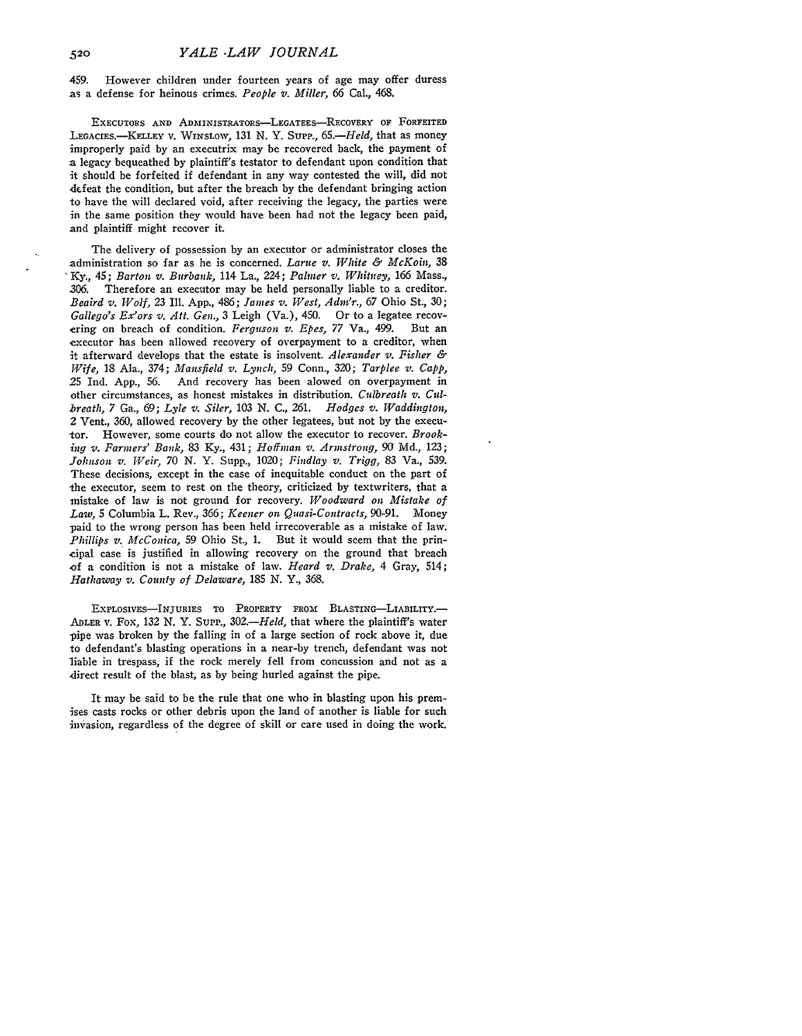459. However children under fourteen years of age may offer duress as a defense for heinous crimes. *People v. Miller, 66* Cal., 468.

**EXECUTORS AND ADMINISTRATORS-LEGATEES-RECOVERY OF FORFEITED** LEGAcIES.-KELLEY V. WINSLOW, 131 N. Y. Surr., *65.-Held,* that as money improperly paid by an executrix may be recovered back, the payment of a legacy bequeathed by plaintiff's testator to defendant upon condition that it should be forfeited if defendant in any way contested the will, did not defeat the condition, but after the breach by the defendant bringing action to have the will declared void, after receiving the legacy, the parties were in the same position they would have been had not the legacy been paid, and plaintiff might recover it.

The delivery of possession by an executor or administrator closes the administration so far as he is concerned. *Larne v. White & McKoin,* 38 **'Ky.,** 45; *Barton v. Burbank,* 114 La., 224; *Palner v. Whitney,* 166 Mass., **306.** Therefore an executor may be held personally liable to a creditor. *Beaird v. Wolf,* **23 Ill. App.,** 486; *James v. West, Adm'r.,* **67** Ohio St., **30;** *Gallego's Ex'ors v. Att. Gen.*, 3 Leigh (Va.), 450. Or to a legatee recov-<br>ering on breach of condition. *Ferquson v. Ebes.* 77 Va., 499. But an ering on breach of condition. *Ferguson v. Epes*, 77 Va., 499. executor has been allowed recovery of overpayment to a creditor, when it afterward develops that the estate is insolvent. *Alexander v. Fisher & Wife,* **18** Ala., 374; *Mansfield v. Lynch,* 59 Conn., **320;** *Tarplee v. Capp,* **25** Ind. **App., 56.** And recovery has been alowed on overpayment in other circumstances, as honest mistakes in distribution. *Culbreath v. Culbreath,* 7 Ga., 69; *Lyle v. Siler,* **103 N. C., 261.** *Hodges v. Waddington,* 2 Vent., **360,** allowed recovery **by** the other legatees, but not **by** the executor. However, some courts do not allow the executor to recover. *Brooking v. Farmers' Bank,* **83 Ky.,** 431; *Hoffnan v. Armstrong, 90* **Md., 123;** *Johnson v. Weir, 70* **N.** Y. Supp., 1020; *Findlay v. Trigg,* **83** Va., **539.** These decisions, except in the case of inequitable conduct on the part of the executor, seem to rest on the theory, criticized by textwriters, that a mistake of law is not ground for recovery. *Woodward on Mistake of Law,* **5** Columbia L. Rev., 366; *Keener on Quasi-Contracts,* **90-91.** Money paid to the wrong person has been held irrecoverable as a mistake of law. *Phillips v. McConica,* 59 Ohio St., 1. But it would seem that the principal case is justified in allowing recovery on the ground that breach -of a condition is not a mistake of law. *Heard v. Drake,* 4 Gray, 514; *Hathaway v. County of Delaware,* **185** *N.* Y., **368.**

EXPLOSIVES-INJURIES TO PROPERTY FROM BLASTING-LIABILITY. ADLER i. Fox, **132** *N.* Y. SuPP., *302.-Held,* that where the plaintiff's water pipe was broken **by** the falling in of a large section of rock above it, due to defendant's blasting operations in a near-by trench, defendant was not liable in trespass, if the rock merely fell from concussion and not as a direct result of the blast, as **by** being hurled against the pipe.

It may be said to be the rule that one who in blasting upon his premises casts rocks or other debris upon the land of another is liable for such invasion, regardless of the degree of skill or care used in doing the work.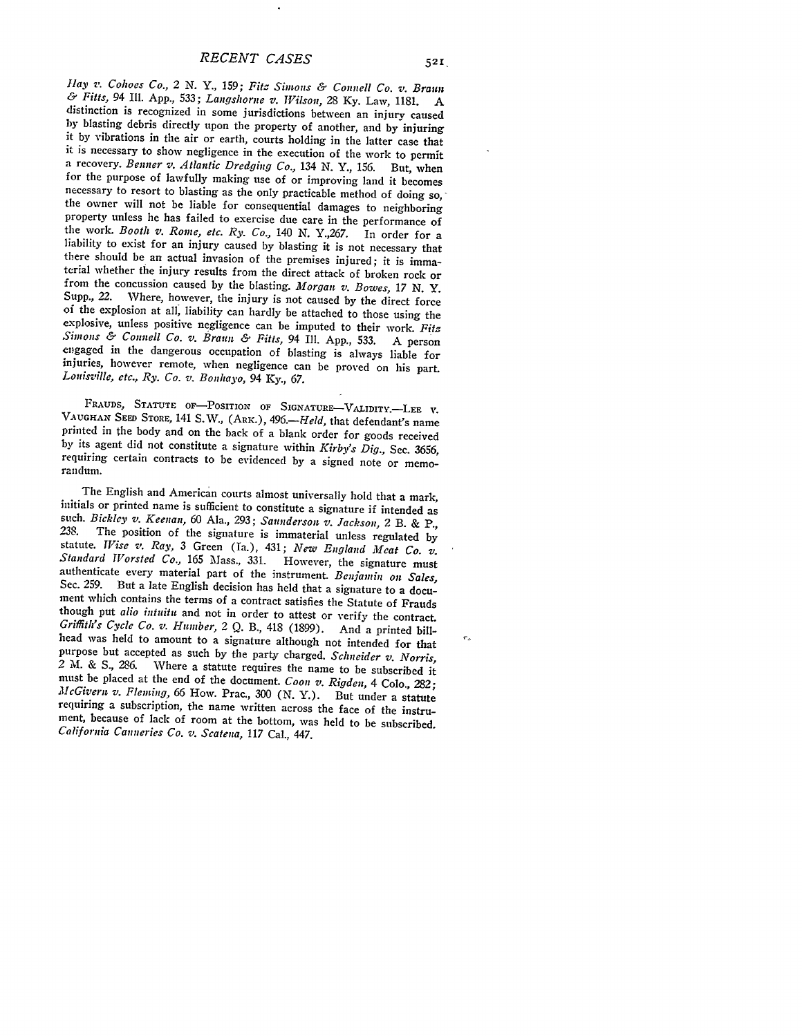Hay **v.** *Cohoes Co.,* 2 N. Y., 159; *Fitz Simons &* Connell *Co. v. Braun & Fitts,* 94 Ill. App., 533; *Langshorne v. Wilson,* 28 Ky. Law, 1181. A distinction is recognized in some jurisdictions between an injury caused by blasting debris directly upon the property of another, and by injuring it by vibrations in the air or earth, courts holding in the latter case that<br>it is necessary to show negligence in the execution of the work to permit<br>a recovery. Benner v. Atlantic Dredging Co., 134 N. Y., 156. But, when for the purpose of lawfully making use of or improving land it becomes the owner will not be liable for consequential damages to neighboring property unless he has failed to exercise due care in the performance of the work. *Booth v. Rome, etc. Ry. Co.,* 140 N. Y.,267. In order for a liability to exist for an injury caused by blasting it is not necessary that there should be an actual invasion of the premises injured; it is immaterial whether the injury results from the direct attack of broken rock or from the concussion caused by the blasting. *Morgan v. Bowes, 17 N.* Y. of the explosion at all, liability can hardly be attached to those using the explosive, unless positive negligence can be imputed to their work. Fits Simons & Connell Co. v. Braun & Fitts, 94 Ill. App., 533. A person engaged in the dangerous occupation of blasting is always liable for injuries, however remote, when negligence can be proved on his part. Louisville, etc.

FRAUDS, STATUTE OF-POSITION OF SIGNATURE-VALIDITY.--LEE V. VAUGHAN SEED STORE, 141 S. W., (ARK.), 496.—*Held*, that defendant's name printed in the body and on the back of a blank order for goods received by its agent did not constitute a signature within *Kirby's Dig.*, Sec. 3656, requiring certain contracts to be evidenced by a signed note or memo-<br>randum.

The English and American courts almost universally hold that a mark,<br>initials or printed name is sufficient to constitute a signature if intended as<br>such. Bickley v. Keenan, 60 Ala., 293; Saunderson v. Jackson, 2 B. & P., authenticate every material part of the instrument. *Benjanin on Sales,* Sec. 259. But a late English decision has held that a signature to a document which contains the terms of a contract satisfies the Statute of Frauds though put *alio intuitu* and not in order to attest or verify the contract. *Griffith's Cycle Co. v. Humber, 2 Q. B., 418 (1899).* And a printed bill-<br>head was held to amount to a signature although not intended for that purpose but accepted as such by the party charged. *Schneider v. Norris, <sup>2</sup>*M. & **S.,** 286. Where a statute requires the name to be subscribed it must be placed at the end of the document. *Coon v. Rigden,* 4 Colo., *282; McGivern v. Flemting, 66* How. Prac., 300 (N. Y.). But under a statute requiring a subscription, the name written across the face of the instrument, because of lack of room at the bottom, was held to be subscribed. *California Canneries Co. v. Scatena,* 117 Cal., 447.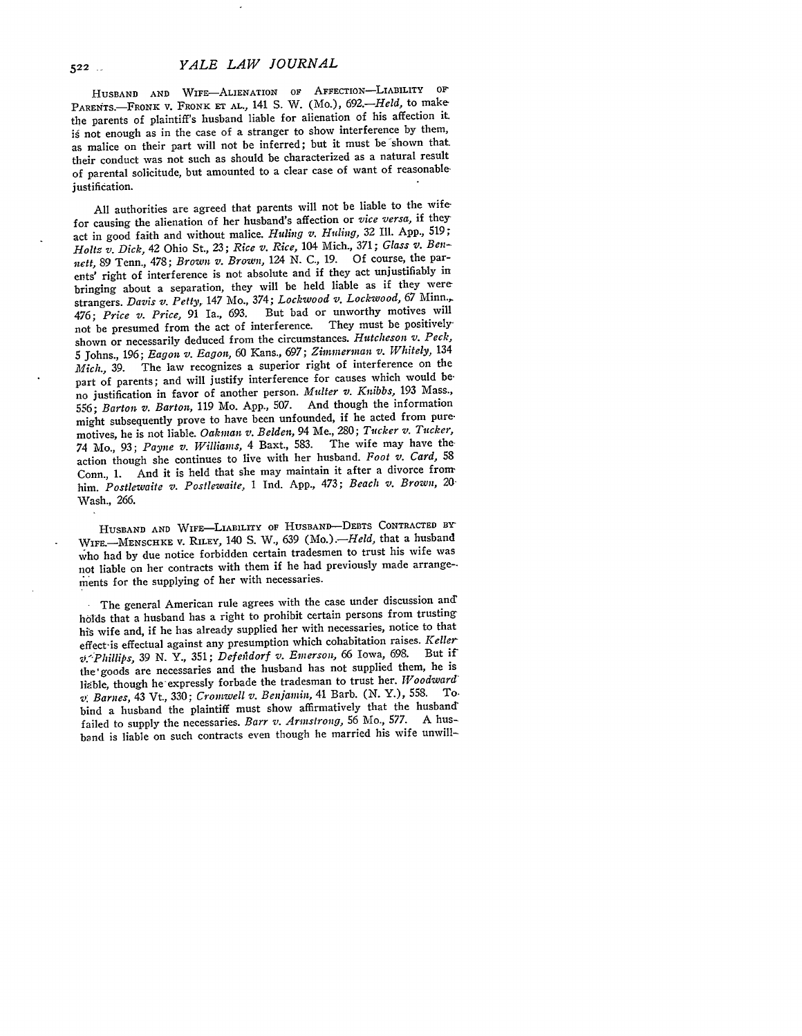HUSBAND **AND WIFE-ALIENATION OF** AFFECTION-LIABILITY **OF** PARENTS.-FRONK **v.** FRONK ET AL., 141 S. W. (Mo.), 692.-*Held*, to makethe parents of plaintiff's husband liable for alienation of his affection it **is** not enough as in the case **of** a stranger to show interference by them, as malice on their part will not be inferred; but it must be shown that. their conduct was not such as should be characterized as a natural result of parental solicitude, but amounted to a clear case of want of reasonable justification.

All authorities are agreed that parents will not be liable to the wifefor causing the alienation of her husband's affection or *vice versa,* if they act in good faith and without malice. *Huling v. Huling,* 32 Ill. App., **519;** *Holtz v. Dick,* 42 Ohio St., 23; *Rice v. Rice,* 104 Mich., 371; *Glass v. Bennett,* **89** Tenn., **478;** *Brown v. Brown,* **124 N. C., 19.** Of course, the parents' right of interference is not absolute and if they act unjustifiably in bringing about a separation, they will be held liable as if they were strangers. *Davis v. Petty,* 147 Mo., 374; *Lockwood v. Lockwood, 67* Minn., 476; *Price v. Price,* **91** Ia., **693.** But bad or unworthy motives will not be presumed from the act of interference. They must be positivelyshown or necessarily deduced from the circumstances. *Hutcheson v. Peck,* 5 Johns., 196; *Eagon v. Eagon,* 60 Kans., 697; *Zimmerman v. Whitely,* <sup>134</sup> The law recognizes a superior right of interference on the part of parents; and will justify interference for causes which would beno justification in favor of another person. *Multer v. Knibbs,* 193 Mass., **556;** *Barton v. Barton,* 119 Mo. App., 507. And though the information might subsequently prove to have been unfounded, if he acted from puremotives, he is not liable. *Oakman v. Belden,* 94 Me., 280; *Tucker v. Tucker,* 74 Mo., 93; *Payne v. Williams,* 4 Baxt., 583. The wife may have theaction though she continues to live with her husband. *Foot v. Card,* <sup>58</sup> Conn., 1. And it is held that she may maintain it after a divorce from him. *Postlewaite v. Postlewaite,* 1 Ind. App., 473; *Beach v. Brown, 20.* Wash., 266.

**HUSBAND AND WIFE-LIABILITY OF HUSBAND-DEBTS CONTRACTED** BY WIFE.-MENSCHKE V. RILEY, 140 S. W., 639 (Mo.).-*Held*, that a husband who had by due notice forbidden certain tradesmen to trust his wife was not liable on her contracts with them if he had previously made arrange- ments for the supplying of her with necessaries.

The general American rule agrees with the case under discussion and holds that a husband has a right to prohibit certain persons from trusting his wife and, if he has already supplied her with necessaries, notice to that effect-is effectual against any presumption which cohabitation raises. *Keller v,.'Phillips,* 39 *N.* Y., 351; *Defenidorf v. Emerson,* 66 Iowa, 698. But **if'** the'goods are necessaries and the husband has not supplied them, he is liable, though he expressly forbade the tradesman to trust her. *Woodward*<br>1. Rep. 14, 2004 Crowstall at Bariawin 41 Barb (N Y), 558. To *V Barnes,* 43 Vt., 330; *Cromwell v. Benjamin,* 41 Barb. **(N.** Y.), **558.** *To*bind a husband the plaintiff must show affirmatively that the husband' failed to supply the necessaries. *Barr v. Armstrong,* 56 Mo., 577. **A** husband is liable on such contracts even though he married his wife unwill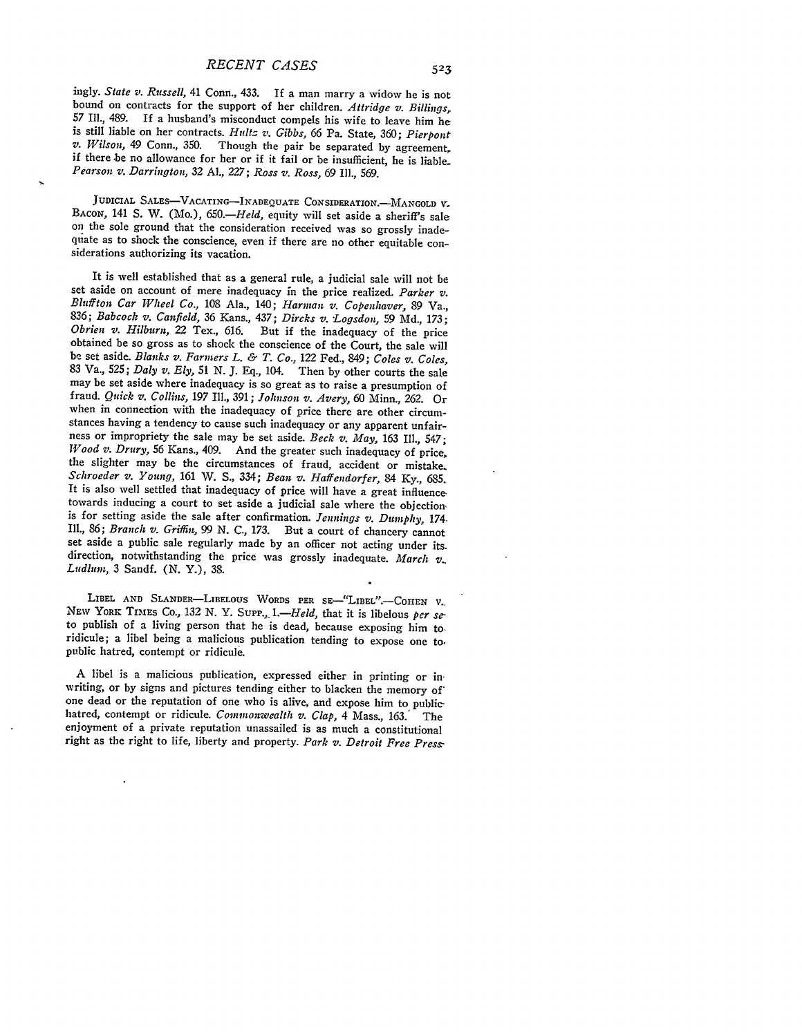ingly. *State v. Russell,* 41 Conn., 433. **If** a man marry a widow he is not bound on contracts for the support of her children. *Attridge v. Billings,* 57 Ill., 489. If a husband's misconduct compels his wife to leave him he is still liable on her contracts. Hultz v. Gibbs, 66 Pa. State, 360; Pierpont  $v.$  Wilson, 49 Conn., 350. Though the pair be separated by agreement, if there be no allowance for her or if it fail or be insufficient, he is liable. *Pearson v. Darrington,* 32 AL., 227; *Ross v. Ross,* 69 **Ill.,** 569.

JUDICIAL SALES-VACATING-INADEQUATE CONSIDERATION.-MANGOLD V. BACON, 141 S. W. (Mo.), 650.—*Held*, equity will set aside a sheriff's sale on the sole ground that the consideration received was so grossly inadeqiate as to shock the conscience, even if there are no other equitable considerations authorizing its vacation.

It is well established that as a general rule, a judicial sale will not be set aside on account of mere inadequacy in the price realized. *Parker v. Bluffton Car Wheel Co.,* 108 Ala., 140; *Harman v. Copenhaver,* 89 Va., 836; *Babcock v. Canfield,* **36** Kans., 437; *Dircks v. Logsdon,* **59** Md., 173; *Obrien v. Hilburn, 22 Tex.*, 616. But if the inadequacy of the price obtained be so gross as to shock the conscience of the Court, the sale will be set aside. *Blanks v. Farmers L. & T. Co.,* 122 Fed., 849; *Coles v. Coles,* **<sup>83</sup>**Va., **525;** *Daly v. Ely,* **51 N. J.** Eq., 104. Then **by** other courts the sale may be set aside where inadequacy is so great as to raise a presumption of fraud. *Quick v. Collins,* 197 Ill., 391; *Johnson v. Avery, 60* Minn., 262. Or when in connection with the inadequacy of price there are other circum-<br>stances having a tendency to cause such inadequacy or any apparent unfairness or impropriety the sale may be set aside. *Beck v. May*, 163 Ill., 547; *Wood v. Drury,* **56** Kans., 409. And the greater such inadequacy of price, the slighter may be the circumstances of fraud, accident or mistake. *Schroeder v. Young,* 161 W. **S.,** 334; *Bean v. Haffendorfer,* 84 **Ky.,** *<sup>685</sup>* It is also well settled that inadequacy of price will have a great influence towards inducing a court to set aside a judicial sale where the objection, is for setting aside the sale after confirmation. *Jennings v. Dumphy,* 174, I11., 86; *Branch v. Griffin,* 99 N. *C.,* 173. But a court of chancery cannot set aside a public sale regularly made by an officer not acting under its. direction, notwithstanding the price was grossly inadequate. *March v. Ludlum*, 3 Sandf. (N. Y.), 38.

LIBEL AND SLANDER-LIBELOUS WORDS PER SE-"LIBEL".-COHEN **V.** NEW YORK TIMES Co., 132 N. Y. SUPP., 1.—*Held*, that it is libelous *per se*-<br>to publish of a living person that he is dead, because exposing him to-<br>ridicule; a libel being a malicious publication tending to expose one t public hatred, contempt or ridicule.

A libel is a malicious publication, expressed either in printing or inwriting, or by signs and pictures tending either to blacken the memory of<br>one dead or the reputation of one who is alive, and expose him to publichatred, contempt or ridicule. *Commonwealth v. Clap,* 4 Mass., 163.' The enjoyment of a private reputation unassailed is as much a constitutional right as the right to life, liberty and property. *Park v. Detroit Free Press-*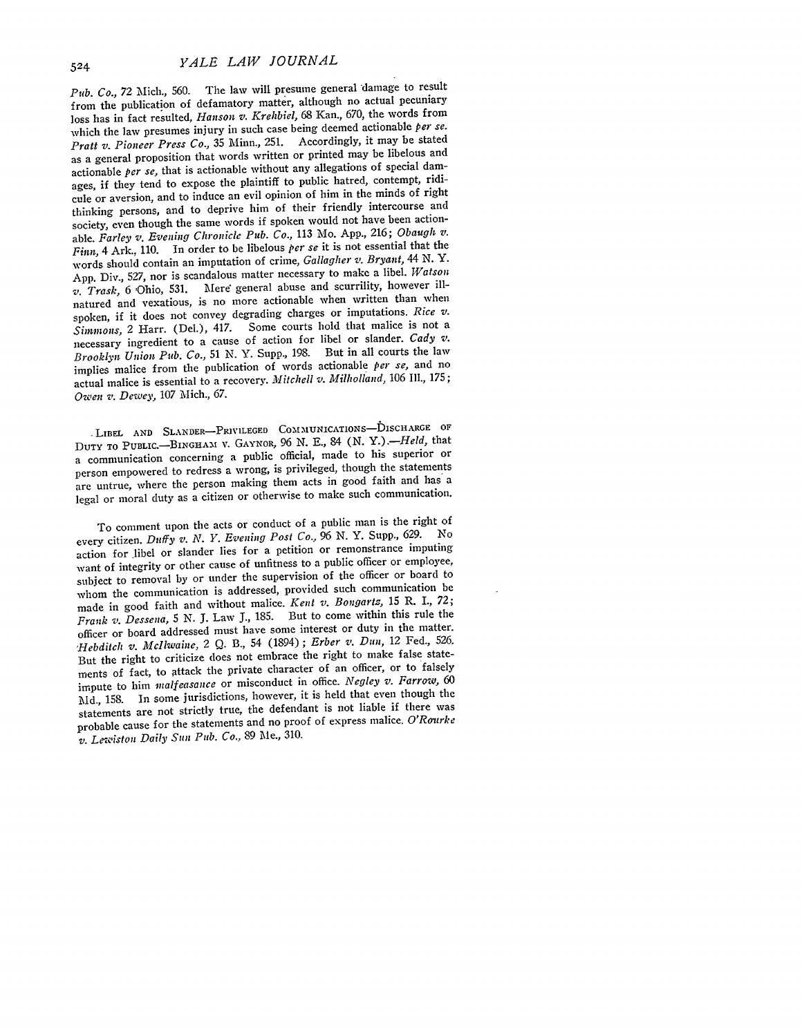*Pub. Co.,* 72 Mich., 560. The law will presume general damage to result from the publication of defamatory matter, although no actual pecuniary loss has in fact resulted, *Hanson v. Krehbiel,* 68 Kan., 670, the words from which the law presumes injury in such case being deemed actionable *per se. Pratt v. Pioneer Press Co.,* 35 Minn., 251. Accordingly, it may be stated as a general proposition that words written or printed may be libelous and actionable *per se,* that is actionable without any allegations of special damages, if they tend to expose the plaintiff to public hatred, contempt, ridicule or aversion, and to induce an evil opinion of him in the minds of right thinking persons, and to deprive him of their friendly intercourse and society, even though the same words if spoken would not have been actionable. *Farley v. Evening Chronicle Pub. Co.,* 113 Mo. App., 216; *Obaugh v. Finn,* 4 Ark., 110. In order to be libelous *per se* it is not essential that the words should contain an imputation of crime, *Gallagher v. Bryant, 44* N. Y. App. Div., 527, nor is scandalous matter necessary to make a libel. *Watson v. Trask,* 6 Ohio, 531. Mere general abuse and scurrility, however illnatured and vexatious, is no more actionable when written than when spoken, if it does not convey degrading charges or imputations. *Rice v. Simmons,* 2 Harr. (Del.), 417. Some courts hold that malice is not a necessary ingredient to a cause of action for libel or slander. *Cady v. Brooklyn Union Pub. Co.,* 51 N. Y. Supp., 198. But in all courts the law implies malice from the publication of words actionable *per se,* and no actual malice is essential to a recovery. *Mitchell v. Milholland*, 106 Ill., 175; *Owen s,. Dewey,* 107 Mich., 67.

LIBEL AND SLANDER-PRIVILEGED COMMUNICATIONS-DISCHARGE OF **DUTY** TO PUBLIC.-BINGHA-1 v. **GAYNOR,** 96 N. E., 84 (N. *Y.).-Held,* that a communication concerning a public official, made to his superior or person empowered to redress a wrong, is privileged, though the statements are untrue, where the person making them acts in good faith and has a legal or moral duty as a citizen or otherwise to make such communication.

To comment upon the acts or conduct of a public man is the right of every citizen. *Duffy v. N. Y. Evening Post Co.,* 96 **N.** Y. Supp., 629. No action for libel or slander lies for a petition or remonstrance imputing want of integrity or other cause of unfitness to a public officer or employee, subject to removal by or under the supervision of the officer or board to whom the communication is addressed, provided such communication be made in good faith and without malice. *Kent v. Bongartz,* 15 R. I., 72; *Frank v. Dessena,* 5 **N.** J. Law **J.,** 185. But to come within this rule the officer or board addressed must have some interest or duty in the matter. *,Hebditch v. McIlwaine,* 2 Q. B., 54 (1894); *Erber s,. Dun,* 12 Fed., 526. But the right to criticize does not embrace the right to make false statements of fact, to attack the private character of an officer, or to falsely impute to him *malfeasance* or misconduct in office. *Negley v. Farrow, 60* Md., 158. In some jurisdictions, however, it is held that even though the statements are not strictly true, the defendant is not liable if there was probable cause for the statements and no proof of express malice. *O'Ronrke v. Lesiston Daily Sun Pub. Co.,* 89 Me., 310.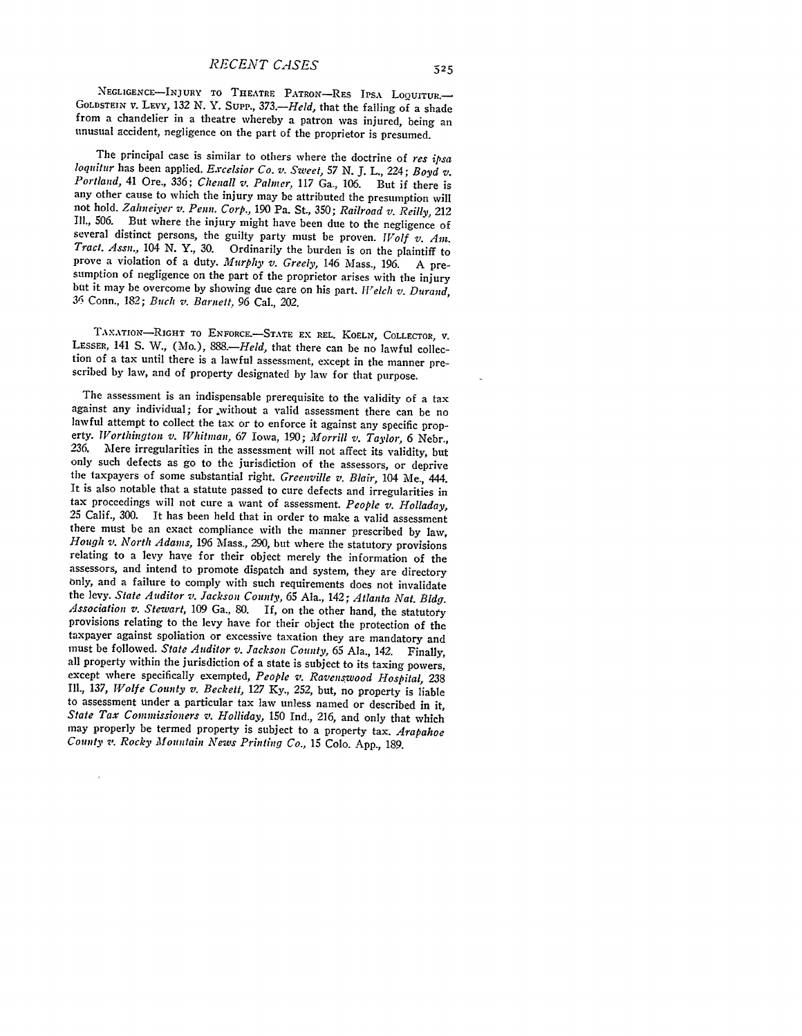NEGLIGENCE-INJURY TO THEATRE PATRON-RES IPSA LOOUITUR. GOLDSTEIN V. LEvy, 132 N. Y. Supp., *373.-Held,* that the falling of a shade from a chandelier in a theatre whereby a patron was injured, being an unusual accident, negligence on the part of the proprietor is presumed.

The principal case is similar to others where the doctrine of res ipsa<br>loquitur has been applied. Excelsior Co. v. Sweet, 57 N. J. L., 224; Boyd v.<br>Portland, 41 Ore., 336; Chenall v. Palmer, 117 Ga., 106. But if there is any other cause to which the injury may be attributed the presumption will not hold. *Zahneiyer v. Penn. Corp.,* 190 Pa. St., 350; *Railroad v. Reilly, 212* **Ill.,** 506. But where the injury might have been due to the negligence of several distinct persons, the guilty party must be proven. *Wolf v. Am. Tract. Assn.*, 104 N. Y., 30. Ordinarily the burden is on the plaintiff to prove a violation of a duty. *Murphy v. Greely*, 146 Mass., 196. A presumption of negligence on the part of the proprietor arises with the injury<br>but it may be overcome by showing due care on his part.  $Welch v$ . Durand, **<sup>31</sup>**Conn., 182; *Buch v. Barnett,* 96 Cal., 202.

TAXATION-RIGHT TO ENFORCE.-STATE EX REL. KOELN, COLLECTOR, V. LESSER, 141 S. W., (Mo.), 888.-*Held*, that there can be no lawful collection of a tax until there is a lawful assessment, except in the manner prescribed by law, and of property designated by law for that purpose.

The assessment is an indispensable prerequisite to the validity of a tax against any individual; for without a valid assessment there can be no lawful attempt to collect the tax or to enforce it against any specific property. *Worthington v. Whitman, 67* Iowa, **190;** *Morrill v. Taylor,* 6 Nebr., *236.* Mere irregularities in the assessment will not affect its validity, but only such defects as go to the jurisdiction of the assessors, or deprive the taxpayers of some substantial right. *Greenville v. Blair,* 104 Me., 444. It is also notable that a statute passed to cure defects and irregularities in tax proceedings will not cure a want of assessment. *People v. Holladay,* **<sup>25</sup>**Calif., 300. It has been held that in order to make a valid assessment there must be an exact compliance with the manner prescribed by law, *Hough v. North Adams,* 196 Mass., 290, but where the statutory provisions relating to a levy have for their object merely the information of the assessors, and intend to promote dispatch and system, they are directory only, and a failure to comply with such requirements does not invalidate the levy. State Auditor v. Jackson County, 65 Ala., 142; Atlanta Nat. Bldg. Association v. Stewart, 109 Ga., 80. If, on the other hand, the statutory provisions relating to the levy have for their object the protection of the taxpayer against spoliation or excessive taxation they are mandatory and must be followed. State Auditor v. Jackson County, 65 Ala., 142. Finally, all property within the jurisdiction of a state is subject to its taxing powers, except where specifically exempted, People v. Ravenswood Hospital, *Ill., 137, Wolfe County v. Beckett, 127* Ky., 252, but, no property is liable to assessment under a particular tax law unless named or described in it, *State Tax Commissioners v. Holliday,* **150** Ind., 216, and only that which may properly be termed property is subject to a property tax. *Arapahoe County 7: Rocky Mountain News Printing Co.,* 15 Colo. App., 189.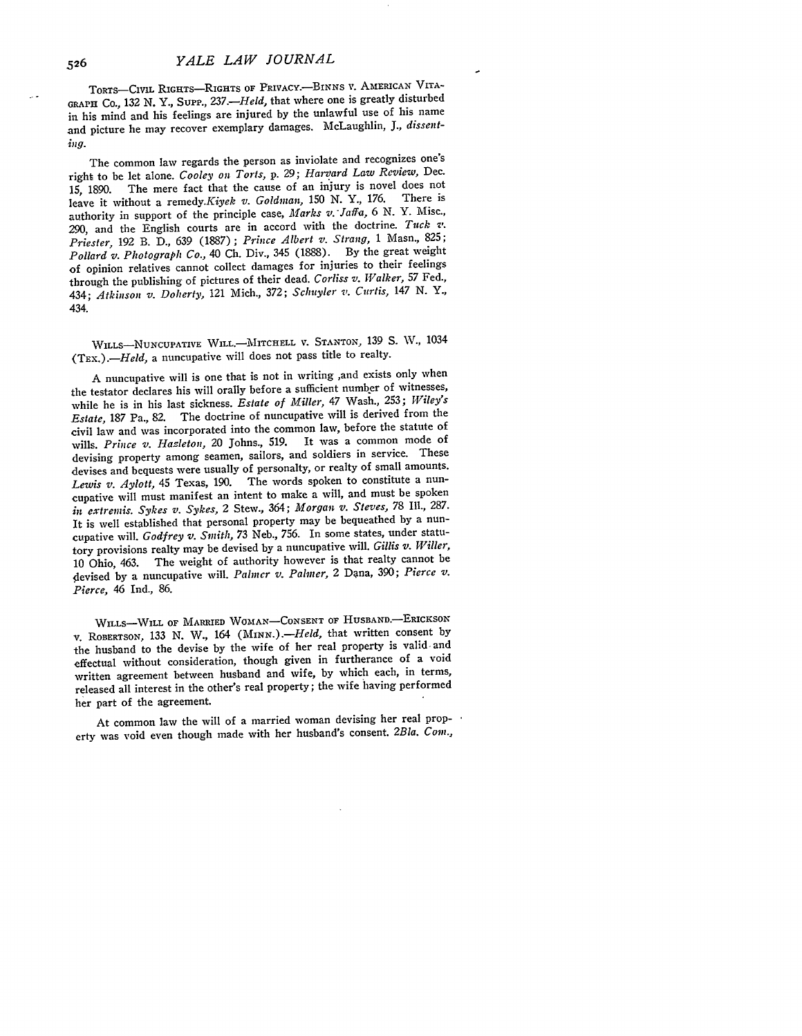TORTs-CIviL **RIGHTS-RIGHTS** OF PRIVACY.-BINNS **v. Ai.ERICAN** VITA-**GRAPH** Co., **132** *N. Y.,* Sup'., *237.-Held,* that where one is greatly disturbed in his mind and his feelings are injured **by** the unlawful use of his name and picture he may recover exemplary damages. McLaughlin, *J., dissenting.*

The common law regards the person as inviolate and recognizes one's right to be let alone. *Cooley on Torts,* p. 29; *Harvard Law Review,* Dec. The mere fact that the cause of an injury is novel does not<br>thent a remady Kingh  $\pi$ , Goldman, 150 N.Y., 176. There is leave it without a remedy.Kiyek v. Goldman, 150 N. Y., 176. authority in support of the principle case, *Marks v. Jaffa,* 6 N. Y. Misc., 290, and the English courts are in accord with the doctrine. *Tuck v. Priester,* 192 B. D., 639 (1887); *Prince Albert v. Strang,* 1 Masn., 825; *Pollard v. Photograph Co.,* 40 Ch. Div., 345 (1888). By the great weight of opinion relatives cannot collect damages for injuries to their feelings through the publishing of pictures of their dead. *Corliss v. Walker,* **57** Fed., 434; *Atkinson v. Doherty,* 121 Mich., 372; *Schuyler v. Curtis, 147* **N.** Y., 434.

**WILLs-NUNCUPATVE** WILL.-lITCHELL V. **STANTON,** 139 S. **W.,** <sup>1034</sup> (TEX.).-Held, a nuncupative will does not pass title to realty.

A nuncupative will is one that is not in writing ,and exists only when the testator declares **his** will orally before a sufficient number of witnesses, while he **is** in **his** last sickness. *Estate of Miller,* 47 Wash., 253; *Wiley's Estate,* 187 Pa., 82. The doctrine of nuncupative will is derived from the civil law and was incorporated into the common law, before the statute of wills. *Prince v. Hazleton,* 20 Johns., 519. It was a common mode of devising property among seamen, sailors, and soldiers in service. These devises and bequests were usually of personalty, or realty of small amounts. *Lewis v. Aylott,* 45 Texas, 190. The words spoken to constitute a nuncupative will must manifest an intent to make a will, and must be spoken *in extremis. Sykes v. Sykes,* 2 Stew., 364; *Morgan v. Steves, 78* **Ill., 287.** It is well established that personal property may be bequeathed by a nuncupative will. *Godfrey v. Smith,* 73 Neb., 756. In some states, under statutory provisions realty may be devised by a nuncupative will. *Gillis v. Wriller,* 10 Ohio, 463. The weight of authority however is that realty cannot be devised by a nuncupative will. *Palmer v. Palmer*, 2 Dana, 390; *Pierce v. Pierce, 46* Ind., 86.

WILLS-WILL OF MARRIED WOMAN-CONSENT OF HUSBAND.-ERICKSON v. **ROBERTSON,** 133 N. W., 164 *(MIN.).-Held,* that written consent by the husband to the devise by the wife of her real property is valid and effectual without consideration, though given in furtherance of a void written agreement between husband and wife, by which each, in terms, released all interest in the other's real property; the wife having performed her part of the agreement.

At common law the will of a married woman devising her real property was void even though made with her husband's consent. 2Bla. Com.,